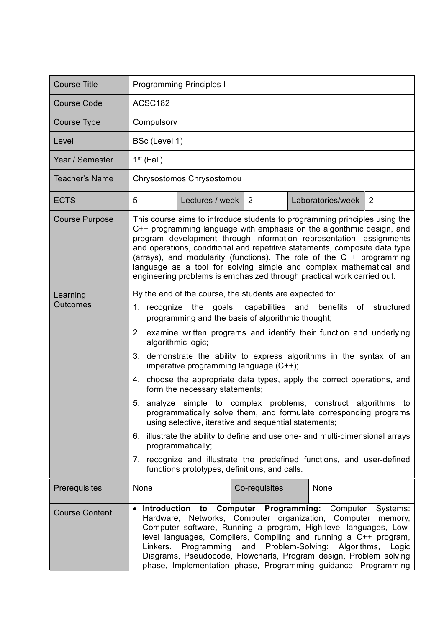| <b>Course Title</b>                    | <b>Programming Principles I</b>                                                                                                                                                                                                                                                                                                                                                                                                                                                                                                                                                                                                                                                                                                                                                                                                                                                                                                                       |  |  |  |
|----------------------------------------|-------------------------------------------------------------------------------------------------------------------------------------------------------------------------------------------------------------------------------------------------------------------------------------------------------------------------------------------------------------------------------------------------------------------------------------------------------------------------------------------------------------------------------------------------------------------------------------------------------------------------------------------------------------------------------------------------------------------------------------------------------------------------------------------------------------------------------------------------------------------------------------------------------------------------------------------------------|--|--|--|
| <b>Course Code</b>                     | ACSC182                                                                                                                                                                                                                                                                                                                                                                                                                                                                                                                                                                                                                                                                                                                                                                                                                                                                                                                                               |  |  |  |
| Course Type                            | Compulsory                                                                                                                                                                                                                                                                                                                                                                                                                                                                                                                                                                                                                                                                                                                                                                                                                                                                                                                                            |  |  |  |
| Level                                  | BSc (Level 1)                                                                                                                                                                                                                                                                                                                                                                                                                                                                                                                                                                                                                                                                                                                                                                                                                                                                                                                                         |  |  |  |
| Year / Semester                        | $1st$ (Fall)                                                                                                                                                                                                                                                                                                                                                                                                                                                                                                                                                                                                                                                                                                                                                                                                                                                                                                                                          |  |  |  |
| Teacher's Name                         | Chrysostomos Chrysostomou                                                                                                                                                                                                                                                                                                                                                                                                                                                                                                                                                                                                                                                                                                                                                                                                                                                                                                                             |  |  |  |
| <b>ECTS</b>                            | 5<br>$\overline{2}$<br>Lectures / week   2<br>Laboratories/week                                                                                                                                                                                                                                                                                                                                                                                                                                                                                                                                                                                                                                                                                                                                                                                                                                                                                       |  |  |  |
| <b>Course Purpose</b>                  | This course aims to introduce students to programming principles using the<br>C++ programming language with emphasis on the algorithmic design, and<br>program development through information representation, assignments<br>and operations, conditional and repetitive statements, composite data type<br>(arrays), and modularity (functions). The role of the C++ programming<br>language as a tool for solving simple and complex mathematical and<br>engineering problems is emphasized through practical work carried out.                                                                                                                                                                                                                                                                                                                                                                                                                     |  |  |  |
| Learning<br><b>Outcomes</b>            | By the end of the course, the students are expected to:<br>1. recognize the goals, capabilities and benefits of structured<br>programming and the basis of algorithmic thought;<br>2. examine written programs and identify their function and underlying<br>algorithmic logic;<br>demonstrate the ability to express algorithms in the syntax of an<br>3.<br>imperative programming language (C++);<br>4. choose the appropriate data types, apply the correct operations, and<br>form the necessary statements;<br>5. analyze simple to complex problems, construct algorithms to<br>programmatically solve them, and formulate corresponding programs<br>using selective, iterative and sequential statements;<br>illustrate the ability to define and use one- and multi-dimensional arrays<br>6.<br>programmatically;<br>7. recognize and illustrate the predefined functions, and user-defined<br>functions prototypes, definitions, and calls. |  |  |  |
| Prerequisites<br><b>Course Content</b> | None<br>Co-requisites<br>None<br><b>Computer Programming: Computer</b><br><b>Introduction</b><br>Systems:<br>to<br>Hardware, Networks, Computer organization, Computer<br>memory,<br>Computer software, Running a program, High-level languages, Low-<br>level languages, Compilers, Compiling and running a C++ program,<br>Programming<br>and Problem-Solving: Algorithms,<br>Linkers.<br>Logic<br>Diagrams, Pseudocode, Flowcharts, Program design, Problem solving<br>phase, Implementation phase, Programming guidance, Programming                                                                                                                                                                                                                                                                                                                                                                                                              |  |  |  |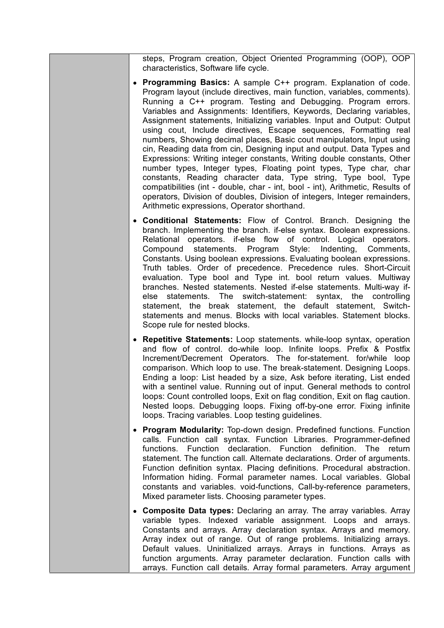steps, Program creation, Object Oriented Programming (OOP), OOP characteristics, Software life cycle.

- **Programming Basics:** A sample C++ program. Explanation of code. Program layout (include directives, main function, variables, comments). Running a C++ program. Testing and Debugging. Program errors. Variables and Assignments: Identifiers, Keywords, Declaring variables, Assignment statements, Initializing variables. Input and Output: Output using cout, Include directives, Escape sequences, Formatting real numbers, Showing decimal places, Basic cout manipulators, Input using cin, Reading data from cin, Designing input and output. Data Types and Expressions: Writing integer constants, Writing double constants, Other number types, Integer types, Floating point types, Type char, char constants, Reading character data, Type string, Type bool, Type compatibilities (int - double, char - int, bool - int), Arithmetic, Results of operators, Division of doubles, Division of integers, Integer remainders, Arithmetic expressions, Operator shorthand.
- **Conditional Statements:** Flow of Control. Branch. Designing the branch. Implementing the branch. if-else syntax. Boolean expressions. Relational operators. if-else flow of control. Logical operators. Compound statements. Program Style: Indenting, Comments, Constants. Using boolean expressions. Evaluating boolean expressions. Truth tables. Order of precedence. Precedence rules. Short-Circuit evaluation. Type bool and Type int. bool return values. Multiway branches. Nested statements. Nested if-else statements. Multi-way ifelse statements. The switch-statement: syntax, the controlling statement, the break statement, the default statement, Switchstatements and menus. Blocks with local variables. Statement blocks. Scope rule for nested blocks.
- **Repetitive Statements:** Loop statements. while-loop syntax, operation and flow of control. do-while loop. Infinite loops. Prefix & Postfix Increment/Decrement Operators. The for-statement. for/while loop comparison. Which loop to use. The break-statement. Designing Loops. Ending a loop: List headed by a size, Ask before iterating, List ended with a sentinel value. Running out of input. General methods to control loops: Count controlled loops, Exit on flag condition, Exit on flag caution. Nested loops. Debugging loops. Fixing off-by-one error. Fixing infinite loops. Tracing variables. Loop testing guidelines.
- **Program Modularity:** Top-down design. Predefined functions. Function calls. Function call syntax. Function Libraries. Programmer-defined functions. Function declaration. Function definition. The return statement. The function call. Alternate declarations. Order of arguments. Function definition syntax. Placing definitions. Procedural abstraction. Information hiding. Formal parameter names. Local variables. Global constants and variables. void-functions, Call-by-reference parameters, Mixed parameter lists. Choosing parameter types.
- **Composite Data types:** Declaring an array. The array variables. Array variable types. Indexed variable assignment. Loops and arrays. Constants and arrays. Array declaration syntax. Arrays and memory. Array index out of range. Out of range problems. Initializing arrays. Default values. Uninitialized arrays. Arrays in functions. Arrays as function arguments. Array parameter declaration. Function calls with arrays. Function call details. Array formal parameters. Array argument